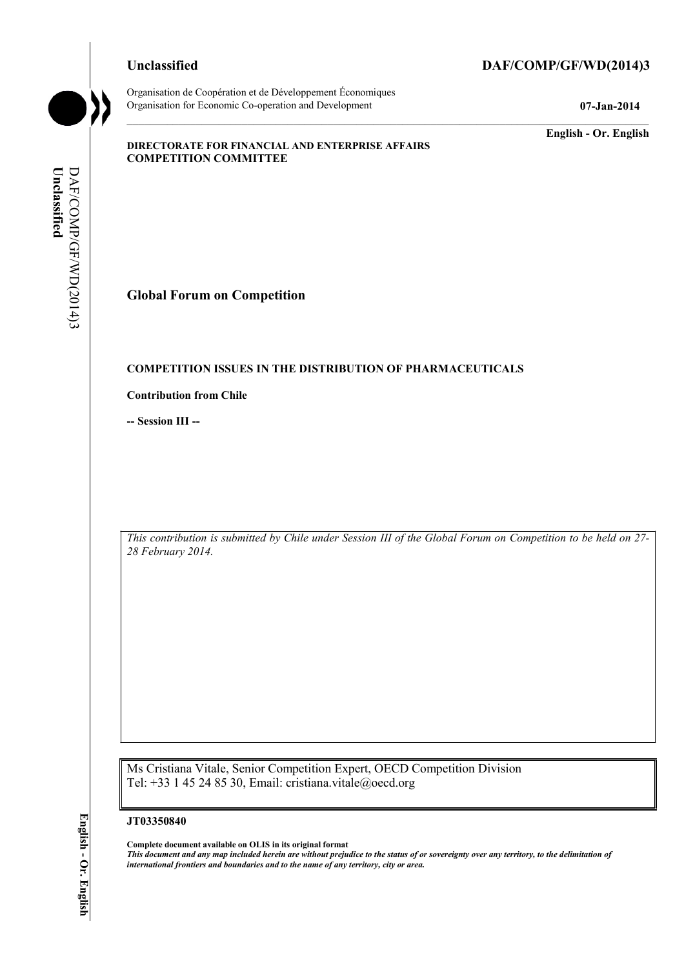Organisation de Coopération et de Développement Économiques Organisation for Economic Co-operation and Development **07-Jan-2014** 

## **Unclassified DAF/COMP/GF/WD(2014)3**

**English - Or. English** 

### **DIRECTORATE FOR FINANCIAL AND ENTERPRISE AFFAIRS COMPETITION COMMITTEE**

Unclassified **Unclassified**  DAF/COMP/GF/WD(2014)3 DAF/COMP/GF/WD(2014)3

**Global Forum on Competition** 

## **COMPETITION ISSUES IN THE DISTRIBUTION OF PHARMACEUTICALS**

**Contribution from Chile** 

**-- Session III --** 

*This contribution is submitted by Chile under Session III of the Global Forum on Competition to be held on 27- 28 February 2014.* 

Ms Cristiana Vitale, Senior Competition Expert, OECD Competition Division Tel: +33 1 45 24 85 30, Email: cristiana.vitale@oecd.org

#### **JT03350840**

**Complete document available on OLIS in its original format** *This document and any map included herein are without prejudice to the status of or sovereignty over any territory, to the delimitation of international frontiers and boundaries and to the name of any territory, city or area.*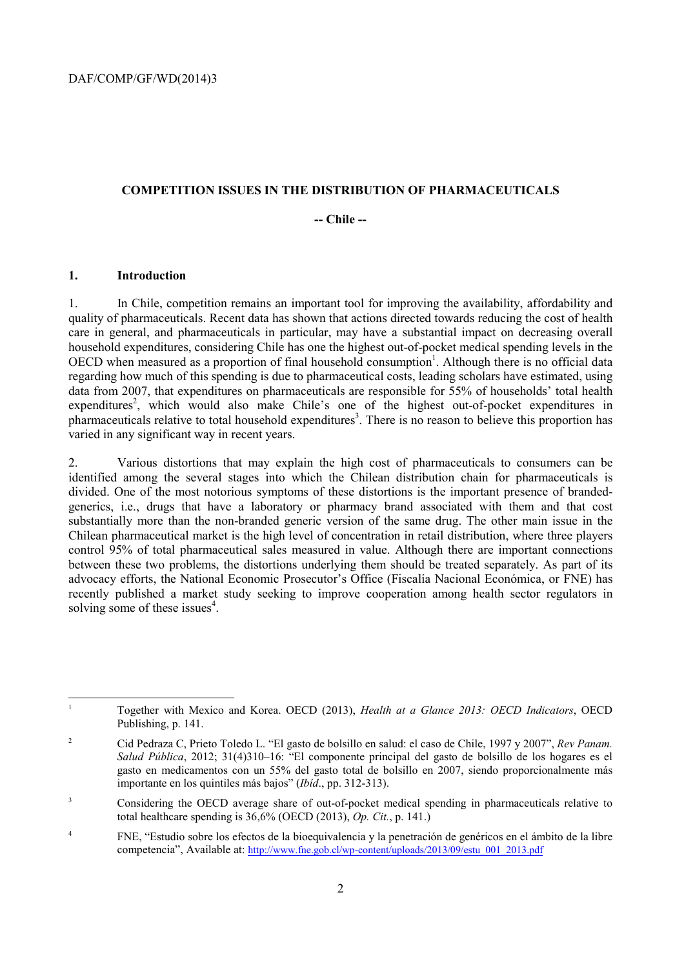### **COMPETITION ISSUES IN THE DISTRIBUTION OF PHARMACEUTICALS**

## **-- Chile --**

## **1. Introduction**

1. In Chile, competition remains an important tool for improving the availability, affordability and quality of pharmaceuticals. Recent data has shown that actions directed towards reducing the cost of health care in general, and pharmaceuticals in particular, may have a substantial impact on decreasing overall household expenditures, considering Chile has one the highest out-of-pocket medical spending levels in the OECD when measured as a proportion of final household consumption<sup>1</sup>. Although there is no official data regarding how much of this spending is due to pharmaceutical costs, leading scholars have estimated, using data from 2007, that expenditures on pharmaceuticals are responsible for 55% of households' total health expenditures<sup>2</sup>, which would also make Chile's one of the highest out-of-pocket expenditures in pharmaceuticals relative to total household expenditures<sup>3</sup>. There is no reason to believe this proportion has varied in any significant way in recent years.

2. Various distortions that may explain the high cost of pharmaceuticals to consumers can be identified among the several stages into which the Chilean distribution chain for pharmaceuticals is divided. One of the most notorious symptoms of these distortions is the important presence of brandedgenerics, i.e., drugs that have a laboratory or pharmacy brand associated with them and that cost substantially more than the non-branded generic version of the same drug. The other main issue in the Chilean pharmaceutical market is the high level of concentration in retail distribution, where three players control 95% of total pharmaceutical sales measured in value. Although there are important connections between these two problems, the distortions underlying them should be treated separately. As part of its advocacy efforts, the National Economic Prosecutor's Office (Fiscalía Nacional Económica, or FNE) has recently published a market study seeking to improve cooperation among health sector regulators in solving some of these issues<sup>4</sup>.

 $\frac{1}{1}$  Together with Mexico and Korea. OECD (2013), *Health at a Glance 2013: OECD Indicators*, OECD Publishing, p. 141.

 $\overline{2}$  Cid Pedraza C, Prieto Toledo L. "El gasto de bolsillo en salud: el caso de Chile, 1997 y 2007", *Rev Panam. Salud Pública*, 2012; 31(4)310–16: "El componente principal del gasto de bolsillo de los hogares es el gasto en medicamentos con un 55% del gasto total de bolsillo en 2007, siendo proporcionalmente más importante en los quintiles más bajos" (*Ibíd*., pp. 312-313).

<sup>3</sup> Considering the OECD average share of out-of-pocket medical spending in pharmaceuticals relative to total healthcare spending is 36,6% (OECD (2013), *Op. Cit.*, p. 141.)

<sup>4</sup> FNE, "Estudio sobre los efectos de la bioequivalencia y la penetración de genéricos en el ámbito de la libre competencia", Available at: http://www.fne.gob.cl/wp-content/uploads/2013/09/estu\_001\_2013.pdf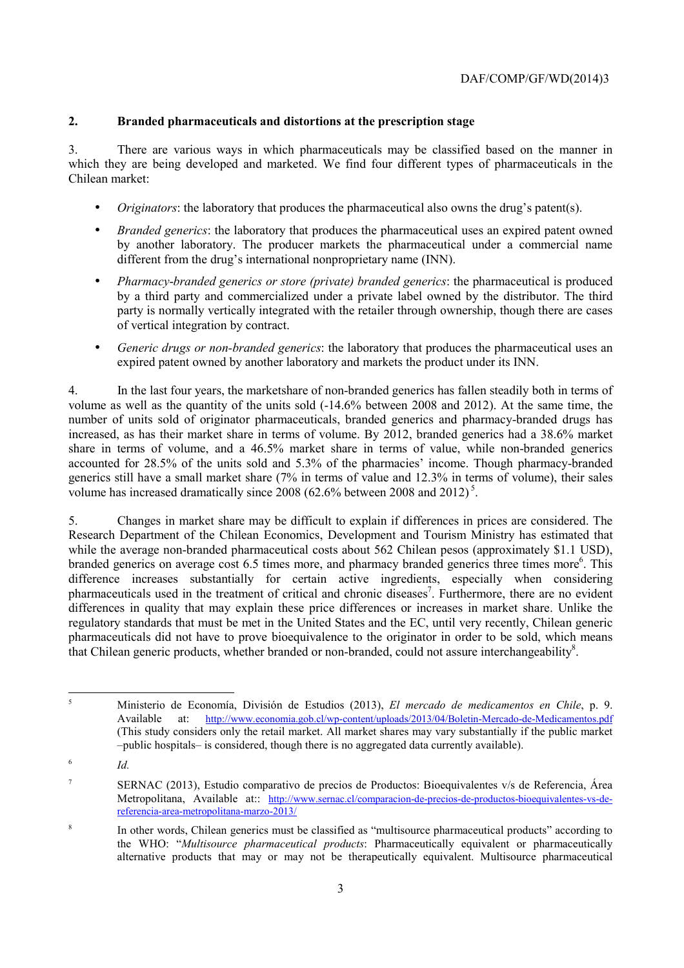# **2. Branded pharmaceuticals and distortions at the prescription stage**

3. There are various ways in which pharmaceuticals may be classified based on the manner in which they are being developed and marketed. We find four different types of pharmaceuticals in the Chilean market:

- *Originators*: the laboratory that produces the pharmaceutical also owns the drug's patent(s).
- *Branded generics*: the laboratory that produces the pharmaceutical uses an expired patent owned by another laboratory. The producer markets the pharmaceutical under a commercial name different from the drug's international nonproprietary name (INN).
- *Pharmacy*-*branded generics or store (private) branded generics*: the pharmaceutical is produced by a third party and commercialized under a private label owned by the distributor. The third party is normally vertically integrated with the retailer through ownership, though there are cases of vertical integration by contract.
- *Generic drugs or non-branded generics*: the laboratory that produces the pharmaceutical uses an expired patent owned by another laboratory and markets the product under its INN.

4. In the last four years, the marketshare of non-branded generics has fallen steadily both in terms of volume as well as the quantity of the units sold (-14.6% between 2008 and 2012). At the same time, the number of units sold of originator pharmaceuticals, branded generics and pharmacy-branded drugs has increased, as has their market share in terms of volume. By 2012, branded generics had a 38.6% market share in terms of volume, and a 46.5% market share in terms of value, while non-branded generics accounted for 28.5% of the units sold and 5.3% of the pharmacies' income. Though pharmacy-branded generics still have a small market share (7% in terms of value and 12.3% in terms of volume), their sales volume has increased dramatically since  $2008$  (62.6% between 2008 and  $2012$ )<sup>5</sup>.

5. Changes in market share may be difficult to explain if differences in prices are considered. The Research Department of the Chilean Economics, Development and Tourism Ministry has estimated that while the average non-branded pharmaceutical costs about 562 Chilean pesos (approximately \$1.1 USD), branded generics on average cost 6.5 times more, and pharmacy branded generics three times more<sup>6</sup>. This difference increases substantially for certain active ingredients, especially when considering pharmaceuticals used in the treatment of critical and chronic diseases<sup>7</sup>. Furthermore, there are no evident differences in quality that may explain these price differences or increases in market share. Unlike the regulatory standards that must be met in the United States and the EC, until very recently, Chilean generic pharmaceuticals did not have to prove bioequivalence to the originator in order to be sold, which means that Chilean generic products, whether branded or non-branded, could not assure interchangeability<sup>8</sup>.

*Id.*

 5 Ministerio de Economía, División de Estudios (2013), *El mercado de medicamentos en Chile*, p. 9. Available at: http://www.economia.gob.cl/wp-content/uploads/2013/04/Boletin-Mercado-de-Medicamentos.pdf (This study considers only the retail market. All market shares may vary substantially if the public market –public hospitals– is considered, though there is no aggregated data currently available).

<sup>6</sup>

<sup>7</sup> SERNAC (2013), Estudio comparativo de precios de Productos: Bioequivalentes v/s de Referencia, Área Metropolitana, Available at:: http://www.sernac.cl/comparacion-de-precios-de-productos-bioequivalentes-vs-dereferencia-area-metropolitana-marzo-2013/

<sup>8</sup> In other words, Chilean generics must be classified as "multisource pharmaceutical products" according to the WHO: "*Multisource pharmaceutical products*: Pharmaceutically equivalent or pharmaceutically alternative products that may or may not be therapeutically equivalent. Multisource pharmaceutical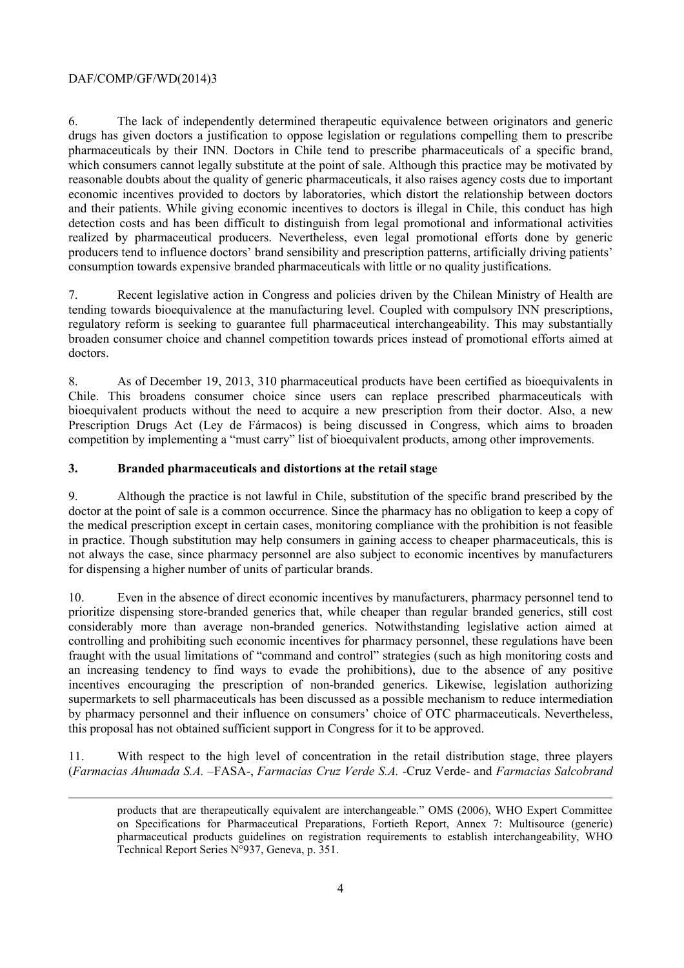# DAF/COMP/GF/WD(2014)3

1

6. The lack of independently determined therapeutic equivalence between originators and generic drugs has given doctors a justification to oppose legislation or regulations compelling them to prescribe pharmaceuticals by their INN. Doctors in Chile tend to prescribe pharmaceuticals of a specific brand, which consumers cannot legally substitute at the point of sale. Although this practice may be motivated by reasonable doubts about the quality of generic pharmaceuticals, it also raises agency costs due to important economic incentives provided to doctors by laboratories, which distort the relationship between doctors and their patients. While giving economic incentives to doctors is illegal in Chile, this conduct has high detection costs and has been difficult to distinguish from legal promotional and informational activities realized by pharmaceutical producers. Nevertheless, even legal promotional efforts done by generic producers tend to influence doctors' brand sensibility and prescription patterns, artificially driving patients' consumption towards expensive branded pharmaceuticals with little or no quality justifications.

7. Recent legislative action in Congress and policies driven by the Chilean Ministry of Health are tending towards bioequivalence at the manufacturing level. Coupled with compulsory INN prescriptions, regulatory reform is seeking to guarantee full pharmaceutical interchangeability. This may substantially broaden consumer choice and channel competition towards prices instead of promotional efforts aimed at doctors.

8. As of December 19, 2013, 310 pharmaceutical products have been certified as bioequivalents in Chile. This broadens consumer choice since users can replace prescribed pharmaceuticals with bioequivalent products without the need to acquire a new prescription from their doctor. Also, a new Prescription Drugs Act (Ley de Fármacos) is being discussed in Congress, which aims to broaden competition by implementing a "must carry" list of bioequivalent products, among other improvements.

## **3. Branded pharmaceuticals and distortions at the retail stage**

9. Although the practice is not lawful in Chile, substitution of the specific brand prescribed by the doctor at the point of sale is a common occurrence. Since the pharmacy has no obligation to keep a copy of the medical prescription except in certain cases, monitoring compliance with the prohibition is not feasible in practice. Though substitution may help consumers in gaining access to cheaper pharmaceuticals, this is not always the case, since pharmacy personnel are also subject to economic incentives by manufacturers for dispensing a higher number of units of particular brands.

10. Even in the absence of direct economic incentives by manufacturers, pharmacy personnel tend to prioritize dispensing store-branded generics that, while cheaper than regular branded generics, still cost considerably more than average non-branded generics. Notwithstanding legislative action aimed at controlling and prohibiting such economic incentives for pharmacy personnel, these regulations have been fraught with the usual limitations of "command and control" strategies (such as high monitoring costs and an increasing tendency to find ways to evade the prohibitions), due to the absence of any positive incentives encouraging the prescription of non-branded generics. Likewise, legislation authorizing supermarkets to sell pharmaceuticals has been discussed as a possible mechanism to reduce intermediation by pharmacy personnel and their influence on consumers' choice of OTC pharmaceuticals. Nevertheless, this proposal has not obtained sufficient support in Congress for it to be approved.

11. With respect to the high level of concentration in the retail distribution stage, three players (*Farmacias Ahumada S.A.* –FASA-, *Farmacias Cruz Verde S.A.* -Cruz Verde- and *Farmacias Salcobrand* 

products that are therapeutically equivalent are interchangeable." OMS (2006), WHO Expert Committee on Specifications for Pharmaceutical Preparations, Fortieth Report, Annex 7: Multisource (generic) pharmaceutical products guidelines on registration requirements to establish interchangeability, WHO Technical Report Series N°937, Geneva, p. 351.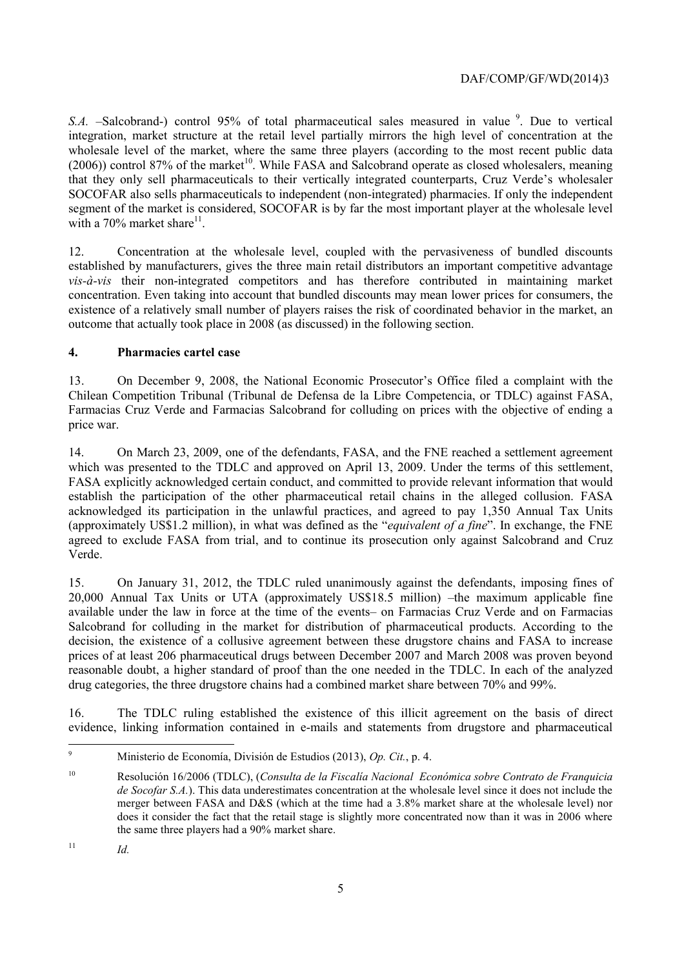## DAF/COMP/GF/WD(2014)3

*S.A.* –Salcobrand-) control 95% of total pharmaceutical sales measured in value <sup>9</sup>. Due to vertical integration, market structure at the retail level partially mirrors the high level of concentration at the wholesale level of the market, where the same three players (according to the most recent public data  $(2006)$ ) control 87% of the market<sup>10</sup>. While FASA and Salcobrand operate as closed wholesalers, meaning that they only sell pharmaceuticals to their vertically integrated counterparts, Cruz Verde's wholesaler SOCOFAR also sells pharmaceuticals to independent (non-integrated) pharmacies. If only the independent segment of the market is considered, SOCOFAR is by far the most important player at the wholesale level with a  $70\%$  market share<sup>11</sup>.

12. Concentration at the wholesale level, coupled with the pervasiveness of bundled discounts established by manufacturers, gives the three main retail distributors an important competitive advantage *vis-à-vis* their non-integrated competitors and has therefore contributed in maintaining market concentration. Even taking into account that bundled discounts may mean lower prices for consumers, the existence of a relatively small number of players raises the risk of coordinated behavior in the market, an outcome that actually took place in 2008 (as discussed) in the following section.

## **4. Pharmacies cartel case**

13. On December 9, 2008, the National Economic Prosecutor's Office filed a complaint with the Chilean Competition Tribunal (Tribunal de Defensa de la Libre Competencia, or TDLC) against FASA, Farmacias Cruz Verde and Farmacias Salcobrand for colluding on prices with the objective of ending a price war.

14. On March 23, 2009, one of the defendants, FASA, and the FNE reached a settlement agreement which was presented to the TDLC and approved on April 13, 2009. Under the terms of this settlement, FASA explicitly acknowledged certain conduct, and committed to provide relevant information that would establish the participation of the other pharmaceutical retail chains in the alleged collusion. FASA acknowledged its participation in the unlawful practices, and agreed to pay 1,350 Annual Tax Units (approximately US\$1.2 million), in what was defined as the "*equivalent of a fine*". In exchange, the FNE agreed to exclude FASA from trial, and to continue its prosecution only against Salcobrand and Cruz Verde.

15. On January 31, 2012, the TDLC ruled unanimously against the defendants, imposing fines of 20,000 Annual Tax Units or UTA (approximately US\$18.5 million) –the maximum applicable fine available under the law in force at the time of the events– on Farmacias Cruz Verde and on Farmacias Salcobrand for colluding in the market for distribution of pharmaceutical products. According to the decision, the existence of a collusive agreement between these drugstore chains and FASA to increase prices of at least 206 pharmaceutical drugs between December 2007 and March 2008 was proven beyond reasonable doubt, a higher standard of proof than the one needed in the TDLC. In each of the analyzed drug categories, the three drugstore chains had a combined market share between 70% and 99%.

16. The TDLC ruling established the existence of this illicit agreement on the basis of direct evidence, linking information contained in e-mails and statements from drugstore and pharmaceutical

<sup>-&</sup>lt;br>9 Ministerio de Economía, División de Estudios (2013), *Op. Cit.*, p. 4.

<sup>10</sup> Resolución 16/2006 (TDLC), (*Consulta de la Fiscalía Nacional Económica sobre Contrato de Franquicia de Socofar S.A.*). This data underestimates concentration at the wholesale level since it does not include the merger between FASA and D&S (which at the time had a 3.8% market share at the wholesale level) nor does it consider the fact that the retail stage is slightly more concentrated now than it was in 2006 where the same three players had a 90% market share.

<sup>11</sup> *Id.*